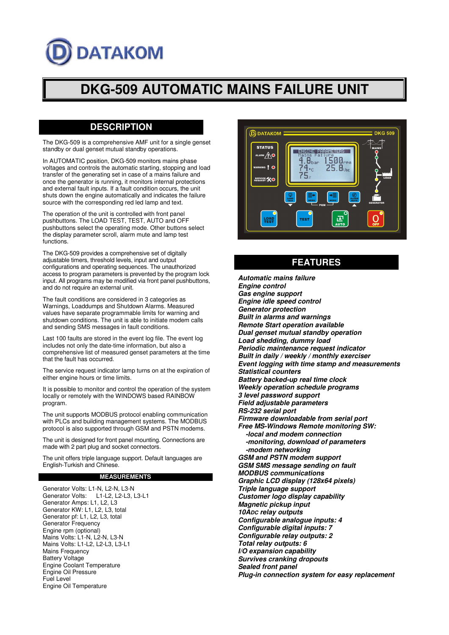# **DATAKOM**

## **DKG-509 AUTOMATIC MAINS FAILURE UNIT**

### **DESCRIPTION**

The DKG-509 is a comprehensive AMF unit for a single genset standby or dual genset mutual standby operations.

In AUTOMATIC position, DKG-509 monitors mains phase voltages and controls the automatic starting, stopping and load transfer of the generating set in case of a mains failure and once the generator is running, it monitors internal protections and external fault inputs. If a fault condition occurs, the unit shuts down the engine automatically and indicates the failure source with the corresponding red led lamp and text.

The operation of the unit is controlled with front panel pushbuttons. The LOAD TEST, TEST, AUTO and OFF pushbuttons select the operating mode. Other buttons select the display parameter scroll, alarm mute and lamp test functions.

The DKG-509 provides a comprehensive set of digitally adjustable timers, threshold levels, input and output configurations and operating sequences. The unauthorized access to program parameters is prevented by the program lock input. All programs may be modified via front panel pushbuttons, and do not require an external unit.

The fault conditions are considered in 3 categories as Warnings, Loaddumps and Shutdown Alarms. Measured values have separate programmable limits for warning and shutdown conditions. The unit is able to initiate modem calls and sending SMS messages in fault conditions.

Last 100 faults are stored in the event log file. The event log includes not only the date-time information, but also a comprehensive list of measured genset parameters at the time that the fault has occurred.

The service request indicator lamp turns on at the expiration of either engine hours or time limits.

It is possible to monitor and control the operation of the system locally or remotely with the WINDOWS based RAINBOW program.

The unit supports MODBUS protocol enabling communication with PLCs and building management systems. The MODBUS protocol is also supported through GSM and PSTN modems.

The unit is designed for front panel mounting. Connections are made with 2 part plug and socket connectors.

The unit offers triple language support. Default languages are English-Turkish and Chinese.

#### **MEASUREMENTS**

Generator Volts: L1-N, L2-N, L3-N Generator Volts: L1-L2, L2-L3, L3-L1 Generator Amps: L1, L2, L3 Generator KW: L1, L2, L3, total Generator pf: L1, L2, L3, total Generator Frequency Engine rpm (optional) Mains Volts: L1-N, L2-N, L3-N Mains Volts: L1-L2, L2-L3, L3-L1 Mains Frequency Battery Voltage Engine Coolant Temperature Engine Oil Pressure Fuel Level Engine Oil Temperature



### **FEATURES**

**Automatic mains failure Engine control Gas engine support Engine idle speed control Generator protection Built in alarms and warnings Remote Start operation available Dual genset mutual standby operation Load shedding, dummy load Periodic maintenance request indicator Built in daily / weekly / monthly exerciser Event logging with time stamp and measurements Statistical counters Battery backed-up real time clock Weekly operation schedule programs 3 level password support Field adjustable parameters RS-232 serial port Firmware downloadable from serial port Free MS-Windows Remote monitoring SW: -local and modem connection -monitoring, download of parameters -modem networking GSM and PSTN modem support GSM SMS message sending on fault MODBUS communications Graphic LCD display (128x64 pixels) Triple language support Customer logo display capability Magnetic pickup input 10ADC relay outputs Configurable analogue inputs: 4 Configurable digital inputs: 7 Configurable relay outputs: 2 Total relay outputs: 6 I/O expansion capability Survives cranking dropouts Sealed front panel Plug-in connection system for easy replacement**